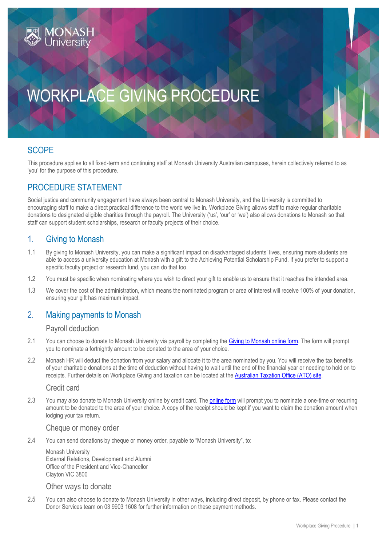# WORKPLACE GIVING PROCEDURE

# **SCOPE**

This procedure applies to all fixed-term and continuing staff at Monash University Australian campuses, herein collectively referred to as 'you' for the purpose of this procedure.

## PROCEDURE STATEMENT

Social justice and community engagement have always been central to Monash University, and the University is committed to encouraging staff to make a direct practical difference to the world we live in. Workplace Giving allows staff to make regular charitable donations to designated eligible charities through the payroll. The University ('us', 'our' or 'we') also allows donations to Monash so that staff can support student scholarships, research or faculty projects of their choice.

## 1. Giving to Monash

- 1.1 By giving to Monash University, you can make a significant impact on disadvantaged students' lives, ensuring more students are able to access a university education at Monash with a gift to the Achieving Potential Scholarship Fund. If you prefer to support a specific faculty project or research fund, you can do that too.
- 1.2 You must be specific when nominating where you wish to direct your gift to enable us to ensure that it reaches the intended area.
- 1.3 We cover the cost of the administration, which means the nominated program or area of interest will receive 100% of your donation, ensuring your gift has maximum impact.

### 2. Making payments to Monash

#### Payroll deduction

- 2.1 You can choose to donate to Monash University via payroll by completing the [Giving to Monash online form.](https://docs.google.com/a/monash.edu/forms/d/e/1FAIpQLSepSQh1D9jMFUybNb2xOYKWRJFb-3jsrVJZ8vX0aZ25VpSelA/viewform) The form will prompt you to nominate a fortnightly amount to be donated to the area of your choice.
- 2.2 Monash HR will deduct the donation from your salary and allocate it to the area nominated by you. You will receive the tax benefits of your charitable donations at the time of deduction without having to wait until the end of the financial year or needing to hold on to receipts. Further details on Workplace Giving and taxation can be located at th[e Australian Taxation](https://www.ato.gov.au/individuals/working/working-as-an-employee/workplace-giving-programs/) Office (ATO) site.

#### Credit card

2.3 You may also donate to Monash University online by credit card. Th[e online form](https://community.monash.edu.au/websitedonate) will prompt you to nominate a one-time or recurring amount to be donated to the area of your choice. A copy of the receipt should be kept if you want to claim the donation amount when lodging your tax return.

#### Cheque or money order

2.4 You can send donations by cheque or money order, payable to "Monash University", to:

Monash University External Relations, Development and Alumni Office of the President and Vice-Chancellor Clayton VIC 3800

#### Other ways to donate

2.5 You can also choose to donate to Monash University in other ways, including direct deposit, by phone or fax. Please contact the Donor Services team on 03 9903 1608 for further information on these payment methods.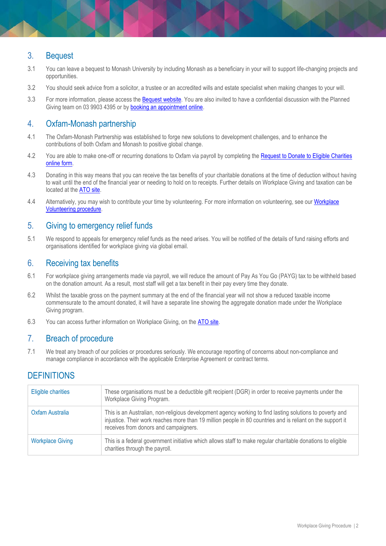# 3. Bequest

- 3.1 You can leave a bequest to Monash University by including Monash as a beneficiary in your will to support life-changing projects and opportunities.
- 3.2 You should seek advice from a solicitor, a trustee or an accredited wills and estate specialist when making changes to your will.
- 3.3 For more information, please access th[e Bequest](https://www.monash.edu/giving/ways-to-give/bequests) website. You are also invited to have a confidential discussion with the Planned Giving team on 03 9903 4395 or b[y booking an appointment online.](https://www.monash.edu/giving/ways-to-give/leave-a-bequest/contact-us)

## 4. Oxfam-Monash partnership

- 4.1 The Oxfam-Monash Partnership was established to forge new solutions to development challenges, and to enhance the contributions of both Oxfam and Monash to positive global change.
- 4.2 You are able to make one-off or recurring donations to Oxfam via payroll by completing the Request to Donate to Eligible Charities [online](https://forms.apps.monash.edu/frevvo/web/tn/monash.edu/user/esol.frevvo.publisher@monash.edu/app/_snIdwJ74Eea9q6CNQXsWJw/formtype/_lwsvRC70EeerSuOUnZSc-w?_method=post&embed=true) form.
- 4.3 Donating in this way means that you can receive the tax benefits of your charitable donations at the time of deduction without having to wait until the end of the financial year or needing to hold on to receipts. Further details on Workplace Giving and taxation can be located at the [ATO site.](https://www.ato.gov.au/individuals/working/working-as-an-employee/workplace-giving-programs/)
- 4.4 Alternatively, you may wish to contribute your time by volunteering. For more information on volunteering, see ou[r Workplace](https://publicpolicydms.monash.edu/Monash/documents/1935743)  [Volunteering procedure.](https://publicpolicydms.monash.edu/Monash/documents/1935743)

## 5. Giving to emergency relief funds

5.1 We respond to appeals for emergency relief funds as the need arises. You will be notified of the details of fund raising efforts and organisations identified for workplace giving via global email.

## 6. Receiving tax benefits

- 6.1 For workplace giving arrangements made via payroll, we will reduce the amount of Pay As You Go (PAYG) tax to be withheld based on the donation amount. As a result, most staff will get a tax benefit in their pay every time they donate.
- 6.2 Whilst the taxable gross on the payment summary at the end of the financial year will not show a reduced taxable income commensurate to the amount donated, it will have a separate line showing the aggregate donation made under the Workplace Giving program.
- 6.3 You can access further information on Workplace Giving, on the [ATO](https://www.ato.gov.au/Non-profit/Gifts-and-fundraising/Workplace-and-business-support/Workplace-giving-and-salary-sacrifice-arrangements/) site.

## 7. Breach of procedure

7.1 We treat any breach of our policies or procedures seriously. We encourage reporting of concerns about non-compliance and manage compliance in accordance with the applicable Enterprise Agreement or contract terms.

# **DEFINITIONS**

| Eligible charities      | These organisations must be a deductible gift recipient (DGR) in order to receive payments under the<br>Workplace Giving Program.                                                                                                                               |
|-------------------------|-----------------------------------------------------------------------------------------------------------------------------------------------------------------------------------------------------------------------------------------------------------------|
| Oxfam Australia         | This is an Australian, non-religious development agency working to find lasting solutions to poverty and<br>injustice. Their work reaches more than 19 million people in 80 countries and is reliant on the support it<br>receives from donors and campaigners. |
| <b>Workplace Giving</b> | This is a federal government initiative which allows staff to make regular charitable donations to eligible<br>charities through the payroll.                                                                                                                   |